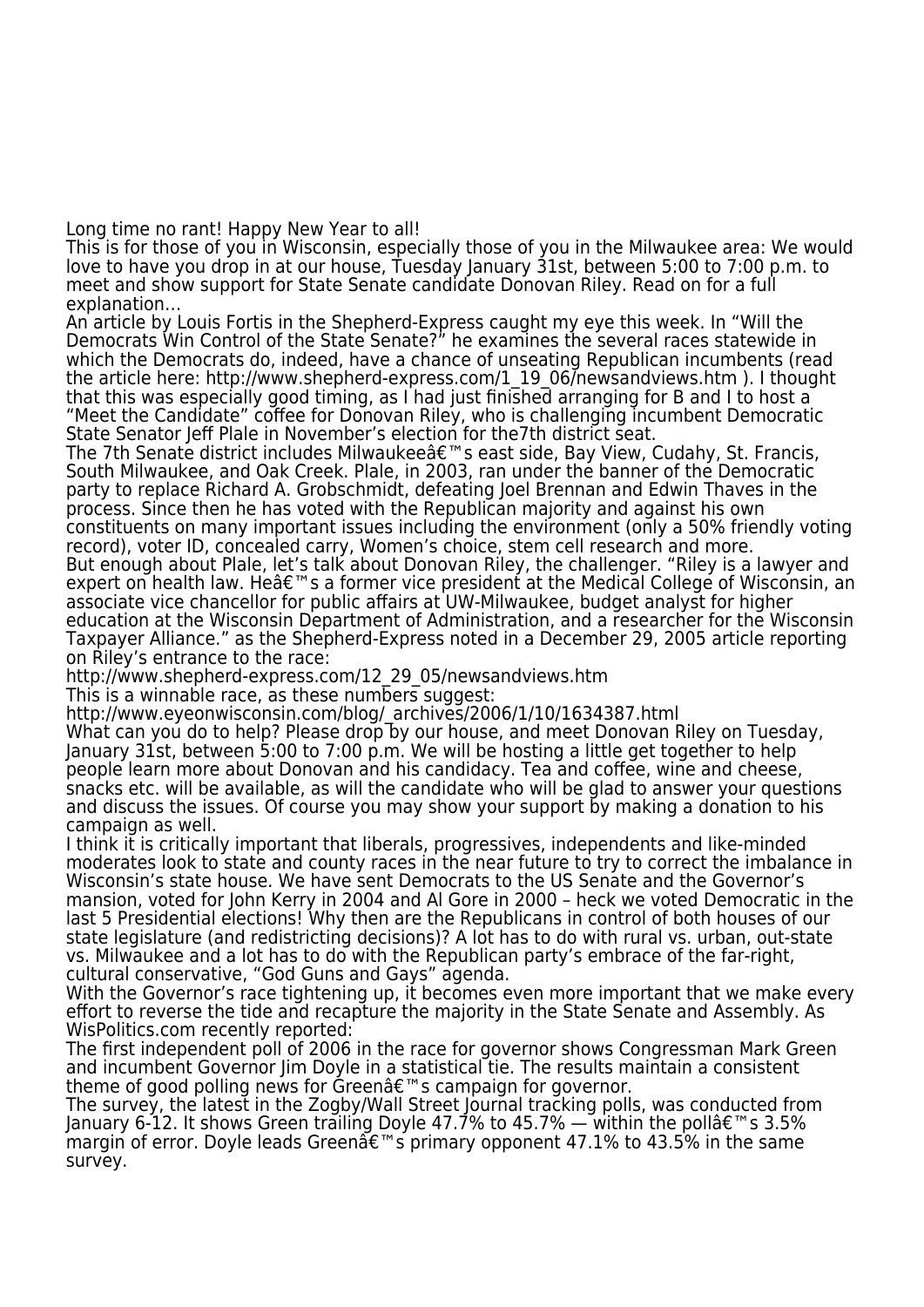Long time no rant! Happy New Year to all!

This is for those of you in Wisconsin, especially those of you in the Milwaukee area: We would love to have you drop in at our house, Tuesday January 31st, between 5:00 to 7:00 p.m. to meet and show support for State Senate candidate Donovan Riley. Read on for a full explanation…

An article by Louis Fortis in the Shepherd-Express caught my eye this week. In "Will the Democrats Win Control of the State Senate?" he examines the several races statewide in which the Democrats do, indeed, have a chance of unseating Republican incumbents (read the article here: http://www.shepherd-express.com/1\_19\_06/newsandviews.htm ). I thought that this was especially good timing, as I had just finished arranging for B and I to host a "Meet the Candidate" coffee for Donovan Riley, who is challenging incumbent Democratic State Senator Jeff Plale in November's election for the7th district seat.

The 7th Senate district includes Milwaukeeâ€<sup>™</sup>s east side, Bay View, Cudahy, St. Francis, South Milwaukee, and Oak Creek. Plale, in 2003, ran under the banner of the Democratic party to replace Richard A. Grobschmidt, defeating Joel Brennan and Edwin Thaves in the process. Since then he has voted with the Republican majority and against his own constituents on many important issues including the environment (only a 50% friendly voting record), voter ID, concealed carry, Women's choice, stem cell research and more. But enough about Plale, let's talk about Donovan Riley, the challenger. "Riley is a lawyer and expert on health law. Heâ $\epsilon$ ™s a former vice president at the Medical College of Wisconsin, an associate vice chancellor for public affairs at UW-Milwaukee, budget analyst for higher education at the Wisconsin Department of Administration, and a researcher for the Wisconsin Taxpayer Alliance." as the Shepherd-Express noted in a December 29, 2005 article reporting on Riley's entrance to the race:

http://www.shepherd-express.com/12\_29\_05/newsandviews.htm

This is a winnable race, as these numbers suggest:

http://www.eyeonwisconsin.com/blog/\_archives/2006/1/10/1634387.html What can you do to help? Please drop by our house, and meet Donovan Riley on Tuesday, January 31st, between 5:00 to 7:00 p.m. We will be hosting a little get together to help people learn more about Donovan and his candidacy. Tea and coffee, wine and cheese, snacks etc. will be available, as will the candidate who will be glad to answer your questions and discuss the issues. Of course you may show your support by making a donation to his campaign as well.

I think it is critically important that liberals, progressives, independents and like-minded moderates look to state and county races in the near future to try to correct the imbalance in Wisconsin's state house. We have sent Democrats to the US Senate and the Governor's mansion, voted for John Kerry in 2004 and Al Gore in 2000 – heck we voted Democratic in the last 5 Presidential elections! Why then are the Republicans in control of both houses of our state legislature (and redistricting decisions)? A lot has to do with rural vs. urban, out-state vs. Milwaukee and a lot has to do with the Republican party's embrace of the far-right, cultural conservative, "God Guns and Gays" agenda.

With the Governor's race tightening up, it becomes even more important that we make every effort to reverse the tide and recapture the majority in the State Senate and Assembly. As WisPolitics.com recently reported:

The first independent poll of 2006 in the race for governor shows Congressman Mark Green and incumbent Governor Jim Doyle in a statistical tie. The results maintain a consistent theme of good polling news for Greenâ $\epsilon$ ms campaign for governor.

The survey, the latest in the Zogby/Wall Street Journal tracking polls, was conducted from January 6-12. It shows Green trailing Doyle 47.7% to 45.7% — within the pollâ $\epsilon$ ™s 3.5% margin of error. Doyle leads Green $\hat{\mathfrak{g}} \in \mathbb{R}^m$  primary opponent 47.1% to 43.5% in the same survey.